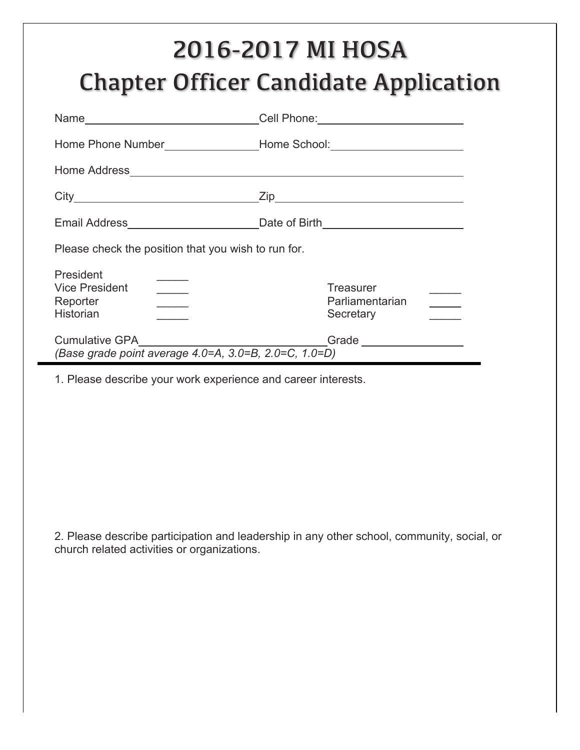# 2016-2017 MI HOSA Chapter Officer Candidate Application

|                                                                                                                                                                                                                                      | Cell Phone: <u>_______________________</u>                                                                                                                                                                                                                                                                                                                                                                                                                                                                              |  |  |  |  |  |  |  |
|--------------------------------------------------------------------------------------------------------------------------------------------------------------------------------------------------------------------------------------|-------------------------------------------------------------------------------------------------------------------------------------------------------------------------------------------------------------------------------------------------------------------------------------------------------------------------------------------------------------------------------------------------------------------------------------------------------------------------------------------------------------------------|--|--|--|--|--|--|--|
|                                                                                                                                                                                                                                      | Home Phone Number_____________________Home School:______________________________                                                                                                                                                                                                                                                                                                                                                                                                                                        |  |  |  |  |  |  |  |
| Home Address <b>Executive Contract Contract Contract Contract Contract Contract Contract Contract Contract Contract Contract Contract Contract Contract Contract Contract Contract Contract Contract Contract Contract Contract </b> |                                                                                                                                                                                                                                                                                                                                                                                                                                                                                                                         |  |  |  |  |  |  |  |
|                                                                                                                                                                                                                                      |                                                                                                                                                                                                                                                                                                                                                                                                                                                                                                                         |  |  |  |  |  |  |  |
|                                                                                                                                                                                                                                      |                                                                                                                                                                                                                                                                                                                                                                                                                                                                                                                         |  |  |  |  |  |  |  |
| Please check the position that you wish to run for.                                                                                                                                                                                  |                                                                                                                                                                                                                                                                                                                                                                                                                                                                                                                         |  |  |  |  |  |  |  |
| President<br><b>Vice President</b><br>$\frac{1}{1}$<br>Reporter<br>$\overline{\phantom{a}}$<br><b>Historian</b><br>$\overline{\phantom{a}}$                                                                                          | Treasurer<br>Parliamentarian<br>$\frac{1}{2} \left( \frac{1}{2} \right) \left( \frac{1}{2} \right) \left( \frac{1}{2} \right) \left( \frac{1}{2} \right) \left( \frac{1}{2} \right) \left( \frac{1}{2} \right) \left( \frac{1}{2} \right) \left( \frac{1}{2} \right) \left( \frac{1}{2} \right) \left( \frac{1}{2} \right) \left( \frac{1}{2} \right) \left( \frac{1}{2} \right) \left( \frac{1}{2} \right) \left( \frac{1}{2} \right) \left( \frac{1}{2} \right) \left( \frac{1}{2} \right) \left( \frac$<br>Secretary |  |  |  |  |  |  |  |
| (Base grade point average 4.0=A, 3.0=B, 2.0=C, 1.0=D)                                                                                                                                                                                | Grade                                                                                                                                                                                                                                                                                                                                                                                                                                                                                                                   |  |  |  |  |  |  |  |

1. Please describe your work experience and career interests.

2. Please describe participation and leadership in any other school, community, social, or church related activities or organizations.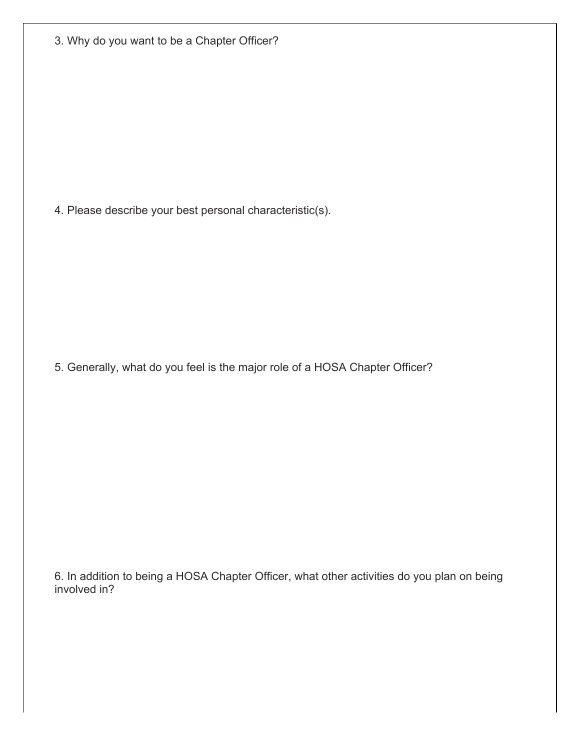|  |  |  |  |  |  |  |  | 3. Why do you want to be a Chapter Officer? |  |
|--|--|--|--|--|--|--|--|---------------------------------------------|--|
|--|--|--|--|--|--|--|--|---------------------------------------------|--|

4. Please describe your best personal characteristic(s).

5. Generally, what do you feel is the major role of a HOSA Chapter Officer?

6. In addition to being a HOSA Chapter Officer, what other activities do you plan on being involved in?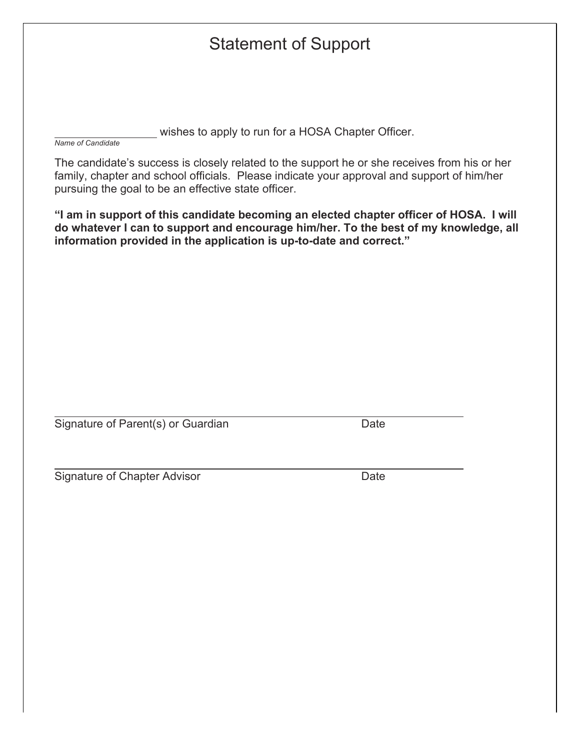## Statement of Support

wishes to apply to run for a HOSA Chapter Officer.

*Name of Candidate*

The candidate's success is closely related to the support he or she receives from his or her family, chapter and school officials. Please indicate your approval and support of him/her pursuing the goal to be an effective state officer.

**"I am in support of this candidate becoming an elected chapter officer of HOSA. I will do whatever I can to support and encourage him/her. To the best of my knowledge, all information provided in the application is up-to-date and correct."**

Signature of Parent(s) or Guardian Date

**Signature of Chapter Advisor** Date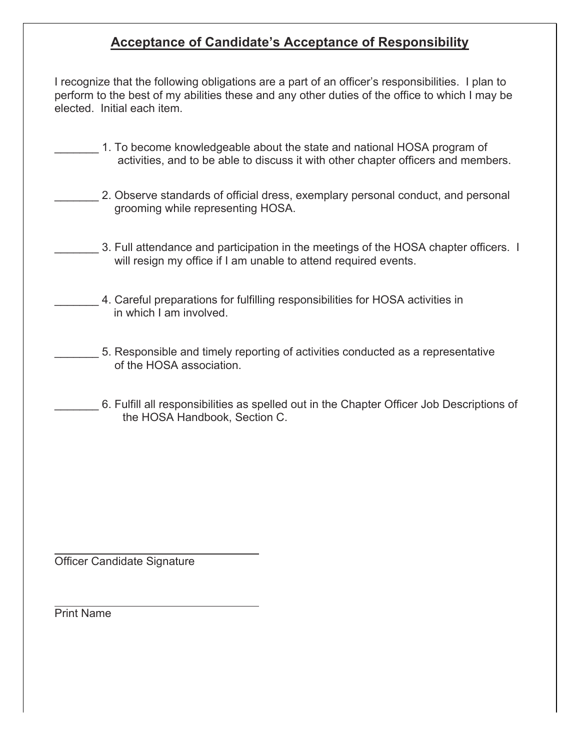### **Acceptance of Candidate's Acceptance of Responsibility**

I recognize that the following obligations are a part of an officer's responsibilities. I plan to perform to the best of my abilities these and any other duties of the office to which I may be elected. Initial each item.

- 1. To become knowledgeable about the state and national HOSA program of activities, and to be able to discuss it with other chapter officers and members.
	- 2. Observe standards of official dress, exemplary personal conduct, and personal grooming while representing HOSA.
	- 3. Full attendance and participation in the meetings of the HOSA chapter officers. I will resign my office if I am unable to attend required events.
	- \_\_\_\_\_\_\_ 4. Careful preparations for fulfilling responsibilities for HOSA activities in in which I am involved.
	- \_\_\_\_\_\_\_ 5. Responsible and timely reporting of activities conducted as a representative of the HOSA association.
	- \_\_\_\_\_\_\_ 6. Fulfill all responsibilities as spelled out in the Chapter Officer Job Descriptions of the HOSA Handbook, Section C.

Officer Candidate Signature

Print Name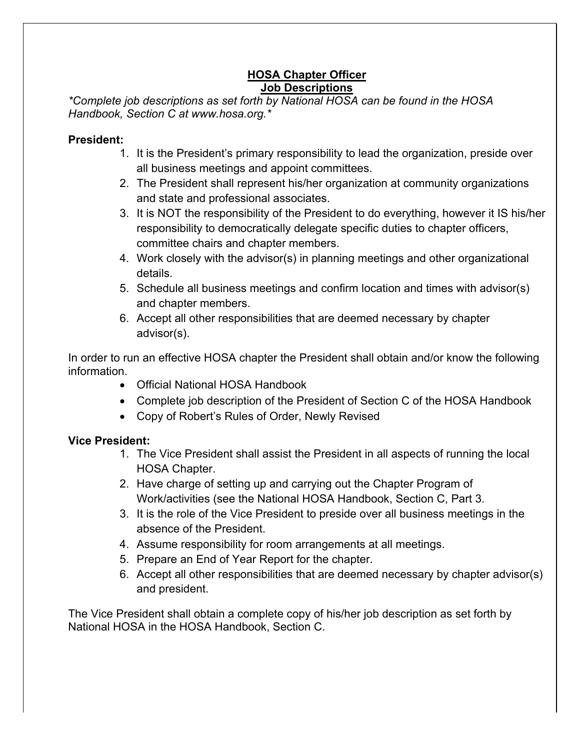#### **HOSA Chapter Officer Job Descriptions**

*\*Complete job descriptions as set forth by National HOSA can be found in the HOSA Handbook, Section C at www.hosa.org.\**

#### **President:**

- 1. It is the President's primary responsibility to lead the organization, preside over all business meetings and appoint committees.
- 2. The President shall represent his/her organization at community organizations and state and professional associates.
- 3. It is NOT the responsibility of the President to do everything, however it IS his/her responsibility to democratically delegate specific duties to chapter officers, committee chairs and chapter members.
- 4. Work closely with the advisor(s) in planning meetings and other organizational details.
- 5. Schedule all business meetings and confirm location and times with advisor(s) and chapter members.
- 6. Accept all other responsibilities that are deemed necessary by chapter advisor(s).

In order to run an effective HOSA chapter the President shall obtain and/or know the following information.

- Official National HOSA Handbook
- Complete job description of the President of Section C of the HOSA Handbook
- Copy of Robert's Rules of Order, Newly Revised

#### **Vice President:**

- 1. The Vice President shall assist the President in all aspects of running the local HOSA Chapter.
- 2. Have charge of setting up and carrying out the Chapter Program of Work/activities (see the National HOSA Handbook, Section C, Part 3.
- 3. It is the role of the Vice President to preside over all business meetings in the absence of the President.
- 4. Assume responsibility for room arrangements at all meetings.
- 5. Prepare an End of Year Report for the chapter.
- 6. Accept all other responsibilities that are deemed necessary by chapter advisor(s) and president.

The Vice President shall obtain a complete copy of his/her job description as set forth by National HOSA in the HOSA Handbook, Section C.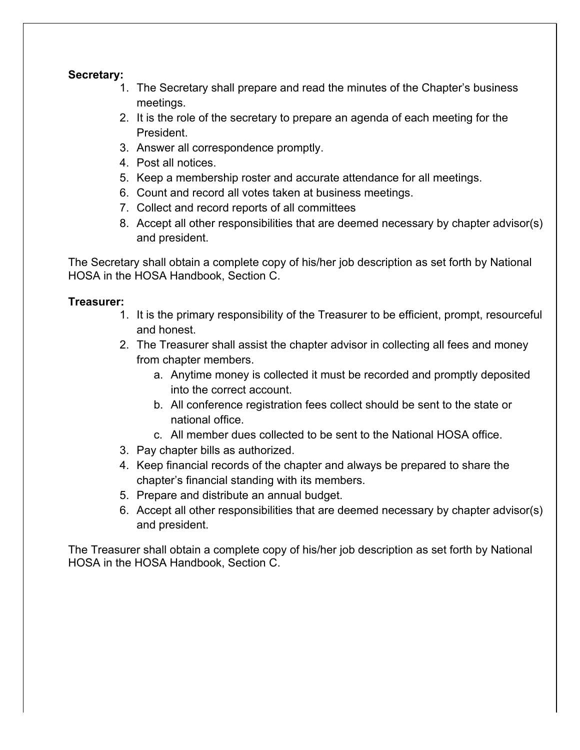#### **Secretary:**

- 1. The Secretary shall prepare and read the minutes of the Chapter's business meetings.
- 2. It is the role of the secretary to prepare an agenda of each meeting for the President.
- 3. Answer all correspondence promptly.
- 4. Post all notices.
- 5. Keep a membership roster and accurate attendance for all meetings.
- 6. Count and record all votes taken at business meetings.
- 7. Collect and record reports of all committees
- 8. Accept all other responsibilities that are deemed necessary by chapter advisor(s) and president.

The Secretary shall obtain a complete copy of his/her job description as set forth by National HOSA in the HOSA Handbook, Section C.

#### **Treasurer:**

- 1. It is the primary responsibility of the Treasurer to be efficient, prompt, resourceful and honest.
- 2. The Treasurer shall assist the chapter advisor in collecting all fees and money from chapter members.
	- a. Anytime money is collected it must be recorded and promptly deposited into the correct account.
	- b. All conference registration fees collect should be sent to the state or national office.
	- c. All member dues collected to be sent to the National HOSA office.
- 3. Pay chapter bills as authorized.
- 4. Keep financial records of the chapter and always be prepared to share the chapter's financial standing with its members.
- 5. Prepare and distribute an annual budget.
- 6. Accept all other responsibilities that are deemed necessary by chapter advisor(s) and president.

The Treasurer shall obtain a complete copy of his/her job description as set forth by National HOSA in the HOSA Handbook, Section C.